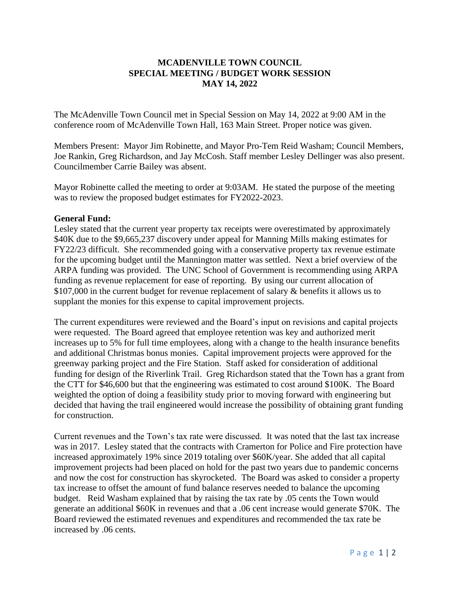## **MCADENVILLE TOWN COUNCIL SPECIAL MEETING / BUDGET WORK SESSION MAY 14, 2022**

The McAdenville Town Council met in Special Session on May 14, 2022 at 9:00 AM in the conference room of McAdenville Town Hall, 163 Main Street. Proper notice was given.

Members Present: Mayor Jim Robinette, and Mayor Pro-Tem Reid Washam; Council Members, Joe Rankin, Greg Richardson, and Jay McCosh. Staff member Lesley Dellinger was also present. Councilmember Carrie Bailey was absent.

Mayor Robinette called the meeting to order at 9:03AM. He stated the purpose of the meeting was to review the proposed budget estimates for FY2022-2023.

## **General Fund:**

Lesley stated that the current year property tax receipts were overestimated by approximately \$40K due to the \$9,665,237 discovery under appeal for Manning Mills making estimates for FY22/23 difficult. She recommended going with a conservative property tax revenue estimate for the upcoming budget until the Mannington matter was settled. Next a brief overview of the ARPA funding was provided. The UNC School of Government is recommending using ARPA funding as revenue replacement for ease of reporting. By using our current allocation of \$107,000 in the current budget for revenue replacement of salary & benefits it allows us to supplant the monies for this expense to capital improvement projects.

The current expenditures were reviewed and the Board's input on revisions and capital projects were requested. The Board agreed that employee retention was key and authorized merit increases up to 5% for full time employees, along with a change to the health insurance benefits and additional Christmas bonus monies. Capital improvement projects were approved for the greenway parking project and the Fire Station. Staff asked for consideration of additional funding for design of the Riverlink Trail. Greg Richardson stated that the Town has a grant from the CTT for \$46,600 but that the engineering was estimated to cost around \$100K. The Board weighted the option of doing a feasibility study prior to moving forward with engineering but decided that having the trail engineered would increase the possibility of obtaining grant funding for construction.

Current revenues and the Town's tax rate were discussed. It was noted that the last tax increase was in 2017. Lesley stated that the contracts with Cramerton for Police and Fire protection have increased approximately 19% since 2019 totaling over \$60K/year. She added that all capital improvement projects had been placed on hold for the past two years due to pandemic concerns and now the cost for construction has skyrocketed. The Board was asked to consider a property tax increase to offset the amount of fund balance reserves needed to balance the upcoming budget. Reid Washam explained that by raising the tax rate by .05 cents the Town would generate an additional \$60K in revenues and that a .06 cent increase would generate \$70K. The Board reviewed the estimated revenues and expenditures and recommended the tax rate be increased by .06 cents.